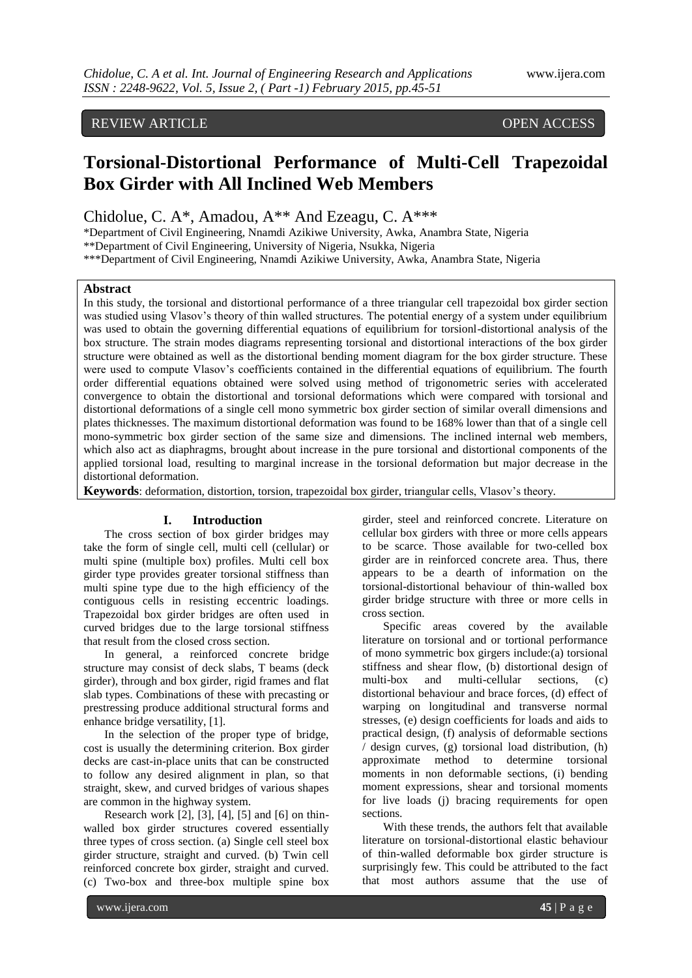# REVIEW ARTICLE OPEN ACCESS

# **Torsional-Distortional Performance of Multi-Cell Trapezoidal Box Girder with All Inclined Web Members**

Chidolue, C. A\*, Amadou, A\*\* And Ezeagu, C. A\*\*\*

\*Department of Civil Engineering, Nnamdi Azikiwe University, Awka, Anambra State, Nigeria

\*\*Department of Civil Engineering, University of Nigeria, Nsukka, Nigeria

\*\*\*Department of Civil Engineering, Nnamdi Azikiwe University, Awka, Anambra State, Nigeria

#### **Abstract**

In this study, the torsional and distortional performance of a three triangular cell trapezoidal box girder section was studied using Vlasov's theory of thin walled structures. The potential energy of a system under equilibrium was used to obtain the governing differential equations of equilibrium for torsionl-distortional analysis of the box structure. The strain modes diagrams representing torsional and distortional interactions of the box girder structure were obtained as well as the distortional bending moment diagram for the box girder structure. These were used to compute Vlasov's coefficients contained in the differential equations of equilibrium. The fourth order differential equations obtained were solved using method of trigonometric series with accelerated convergence to obtain the distortional and torsional deformations which were compared with torsional and distortional deformations of a single cell mono symmetric box girder section of similar overall dimensions and plates thicknesses. The maximum distortional deformation was found to be 168% lower than that of a single cell mono-symmetric box girder section of the same size and dimensions. The inclined internal web members, which also act as diaphragms, brought about increase in the pure torsional and distortional components of the applied torsional load, resulting to marginal increase in the torsional deformation but major decrease in the distortional deformation.

**Keywords**: deformation, distortion, torsion, trapezoidal box girder, triangular cells, Vlasov's theory*.*

#### **I. Introduction**

The cross section of box girder bridges may take the form of single cell, multi cell (cellular) or multi spine (multiple box) profiles. Multi cell box girder type provides greater torsional stiffness than multi spine type due to the high efficiency of the contiguous cells in resisting eccentric loadings. Trapezoidal box girder bridges are often used in curved bridges due to the large torsional stiffness that result from the closed cross section.

In general, a reinforced concrete bridge structure may consist of deck slabs, T beams (deck girder), through and box girder, rigid frames and flat slab types. Combinations of these with precasting or prestressing produce additional structural forms and enhance bridge versatility, [1].

In the selection of the proper type of bridge, cost is usually the determining criterion. Box girder decks are cast-in-place units that can be constructed to follow any desired alignment in plan, so that straight, skew, and curved bridges of various shapes are common in the highway system.

Research work [2], [3], [4], [5] and [6] on thinwalled box girder structures covered essentially three types of cross section. (a) Single cell steel box girder structure, straight and curved. (b) Twin cell reinforced concrete box girder, straight and curved. (c) Two-box and three-box multiple spine box

girder, steel and reinforced concrete. Literature on cellular box girders with three or more cells appears to be scarce. Those available for two-celled box girder are in reinforced concrete area. Thus, there appears to be a dearth of information on the torsional-distortional behaviour of thin-walled box girder bridge structure with three or more cells in cross section.

Specific areas covered by the available literature on torsional and or tortional performance of mono symmetric box girgers include:(a) torsional stiffness and shear flow, (b) distortional design of multi-box and multi-cellular sections, (c) distortional behaviour and brace forces, (d) effect of warping on longitudinal and transverse normal stresses, (e) design coefficients for loads and aids to practical design, (f) analysis of deformable sections / design curves, (g) torsional load distribution, (h) approximate method to determine torsional moments in non deformable sections, (i) bending moment expressions, shear and torsional moments for live loads (j) bracing requirements for open sections.

With these trends, the authors felt that available literature on torsional-distortional elastic behaviour of thin-walled deformable box girder structure is surprisingly few. This could be attributed to the fact that most authors assume that the use of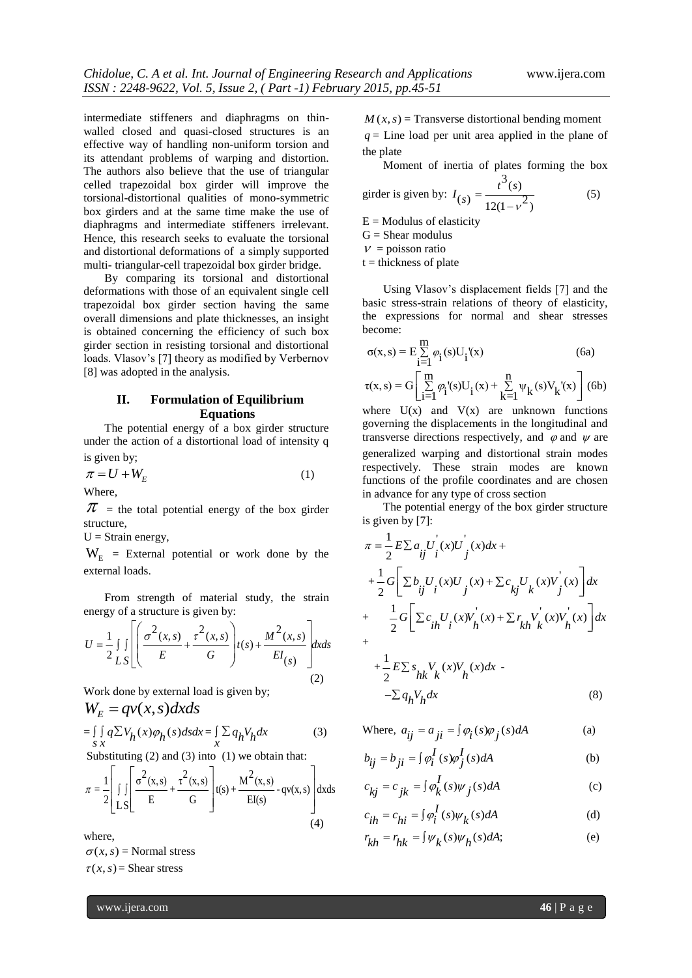intermediate stiffeners and diaphragms on thinwalled closed and quasi-closed structures is an effective way of handling non-uniform torsion and its attendant problems of warping and distortion. The authors also believe that the use of triangular celled trapezoidal box girder will improve the torsional-distortional qualities of mono-symmetric box girders and at the same time make the use of diaphragms and intermediate stiffeners irrelevant. Hence, this research seeks to evaluate the torsional and distortional deformations of a simply supported multi- triangular-cell trapezoidal box girder bridge.

By comparing its torsional and distortional deformations with those of an equivalent single cell trapezoidal box girder section having the same overall dimensions and plate thicknesses, an insight is obtained concerning the efficiency of such box girder section in resisting torsional and distortional loads. Vlasov's [7] theory as modified by Verbernov [8] was adopted in the analysis.

## **II. Formulation of Equilibrium Equations**

The potential energy of a box girder structure under the action of a distortional load of intensity q is given by;

$$
\pi = U + W_E \tag{1}
$$
 where,

 $\pi$  = the total potential energy of the box girder structure,

 $U =$  Strain energy,

 $W_{E}$  = External potential or work done by the external loads.

From strength of material study, the strain

$$
U = \frac{1}{2} \int_{LS} \left[ \left( \frac{\sigma^2(x, s)}{E} + \frac{\tau^2(x, s)}{G} \right) t(s) + \frac{M^2(x, s)}{EI_{(s)}} \right] dx ds
$$
\n(2)

Work done by external load is given by;  
\n
$$
W_E = qv(x, s)dxds
$$
\n
$$
= \iint q\Sigma V_h(x)\varphi_h(s)dsdx = \iint q_hV_hdx
$$
\n(3)

Substituting (2) and (3) into (1) we obtain that:  
\n
$$
\pi = \frac{1}{2} \left[ \int \int \left[ \frac{\sigma^2(x,s)}{E} + \frac{\tau^2(x,s)}{G} \right] t(s) + \frac{M^2(x,s)}{EI(s)} - qv(x,s) \right] dx ds
$$
\n(4)

where,

 $\sigma(x, s)$  = Normal stress  $\tau(x, s)$  = Shear stress

 $M(x, s)$  = Transverse distortional bending moment  $q =$  Line load per unit area applied in the plane of the plate

Moment of inertia of plates forming the box  $3_{(s)}$ 

 $I_{(s)} = \frac{t^3(s)}{12(1-v)}$  $=$ 

 $\overline{a}$ 

$$
\left( 5\right)
$$

 $(s) = \frac{1}{12(1-v^2)}$  $E =$  Modulus of elasticity

 $G =$ Shear modulus

 $v =$  poisson ratio

girder is given by:

 $t =$  thickness of plate

Using Vlasov's displacement fields [7] and the basic stress-strain relations of theory of elasticity, the expressions for normal and shear stresses become:

$$
\sigma(x, s) = E \sum_{i=1}^{m} \varphi_i(s) U_i'(x)
$$
(6a)  

$$
\tau(x, s) = G \left[ \sum_{i=1}^{m} \varphi_i'(s) U_i(x) + \sum_{k=1}^{n} \psi_k(s) V_k'(x) \right]
$$
(6b)

where  $U(x)$  and  $V(x)$  are unknown functions governing the displacements in the longitudinal and transverse directions respectively, and  $\varphi$  and  $\psi$  are generalized warping and distortional strain modes respectively. These strain modes are known functions of the profile coordinates and are chosen in advance for any type of cross section

The potential energy of the box girder structure is given by [7]:

$$
\pi = \frac{1}{2} E \sum a_{ij} U^{'}_{i}(x) U^{'}_{j}(x) dx +
$$
  
+ 
$$
\frac{1}{2} G \left[ \sum b_{ij} U^{'}_{i}(x) U^{'}_{j}(x) + \sum c_{kj} U^{'}_{k}(x) V^{'}_{j}(x) \right] dx
$$
  
+ 
$$
\frac{1}{2} G \left[ \sum c_{ih} U^{'}_{i}(x) V^{'}_{h}(x) + \sum r_{kh} V^{'}_{k}(x) V^{'}_{h}(x) \right] dx
$$
  
+ 
$$
\frac{1}{2} E \sum s_{hk} V^{'}_{k}(x) V^{'}_{h}(x) dx -
$$

$$
2 = hk \ k^{\gamma} h^{\gamma}
$$
  
-
$$
\sum q_h V_h dx
$$
 (8)

Where,  $a_{ij} = a_{ji} = \int \varphi_i(s) \varphi_j(s) dA$  (a)

$$
b_{ij} = b_{ji} = \int \varphi_i^I(s)\varphi_j^I(s)dA
$$
 (b)

$$
c_{kj} = c_{jk} = \int \varphi_k^I(s)\psi_j(s)dA
$$
 (c)

$$
c_{ih} = c_{hi} = \int \varphi_i^I(s)\psi_k(s)dA \tag{d}
$$

$$
r_{kh} = r_{hk} = \int \psi_k(s)\psi_h(s)ds;
$$
 (e)

www.ijera.com **46** | P a g e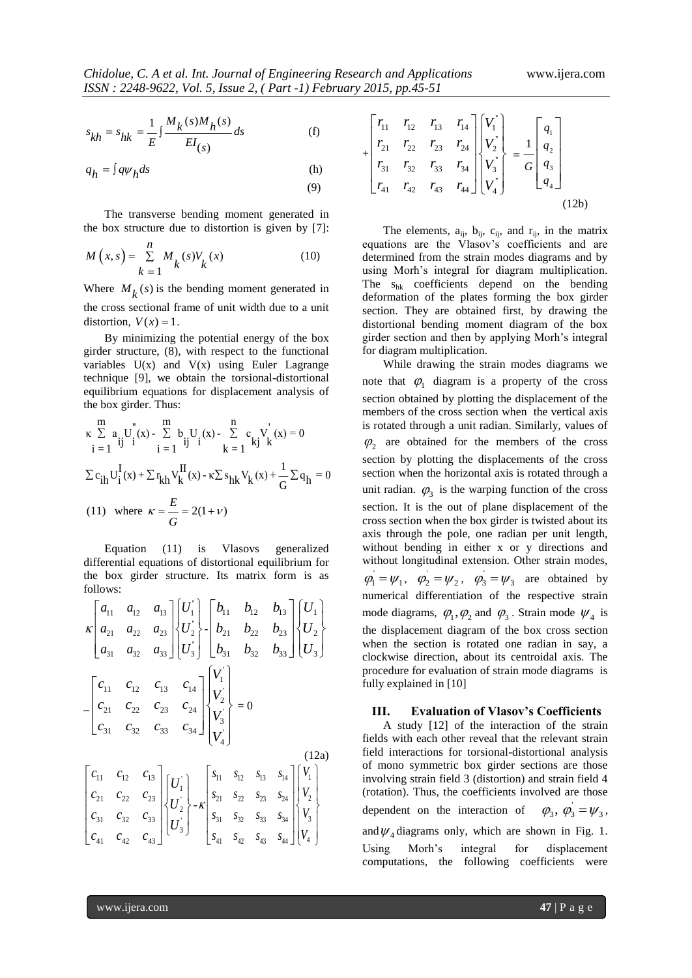$$
s_{kh} = s_{hk} = \frac{1}{E} \int \frac{M_k(s)M_h(s)}{EI(s)} ds
$$
 (f)

$$
q_h = \int q \psi_h ds \tag{h}
$$

The transverse bending moment generated in the box structure due to distortion is given by [7]:

$$
M(x,s) = \sum_{k=1}^{n} M_k(s) V_k(x)
$$
 (10)

Where  $M_k(s)$  is the bending moment generated in the cross sectional frame of unit width due to a unit distortion,  $V(x) = 1$ .

By minimizing the potential energy of the box girder structure, (8), with respect to the functional variables  $U(x)$  and  $V(x)$  using Euler Lagrange technique [9], we obtain the torsional-distortional equilibrium equations for displacement analysis of the box girder. Thus:

the box girder. Thus:  
\n
$$
\kappa \sum_{i=1}^{m} a_{i} U_{i}^{*}(x) - \sum_{i=1}^{m} b_{i} U_{i}(x) - \sum_{k=1}^{n} c_{k} V_{k}^{*}(x) = 0
$$
\n
$$
\sum c_{ih} U_{i}^{I}(x) + \sum r_{kh} V_{k}^{II}(x) - \kappa \sum s_{hk} V_{k}(x) + \frac{1}{G} \sum q_{h} = 0
$$
\n(11) where  $\kappa = \frac{E}{G} = 2(1 + \nu)$ 

Equation (11) is Vlasovs generalized differential equations of distortional equilibrium for the box girder structure. Its matrix form is as follows:

$$
\kappa \begin{bmatrix} a_{11} & a_{12} & a_{13} \ a_{21} & a_{22} & a_{23} \ a_{31} & a_{32} & a_{33} \end{bmatrix} \begin{bmatrix} U_1 \\ U_2 \\ U_3 \end{bmatrix} - \begin{bmatrix} b_{11} & b_{12} & b_{13} \ b_{21} & b_{22} & b_{23} \ b_{31} & b_{32} & b_{33} \end{bmatrix} \begin{bmatrix} U_1 \\ U_2 \\ U_3 \end{bmatrix}
$$

$$
- \begin{bmatrix} c_{11} & c_{12} & c_{13} & c_{14} \ c_{21} & c_{22} & c_{23} & c_{24} \ c_{31} & c_{32} & c_{33} & c_{34} \end{bmatrix} \begin{bmatrix} V_1 \\ V_2 \\ V_3 \end{bmatrix} = 0
$$

$$
\begin{bmatrix} c_{11} & c_{12} & c_{13} \ c_{21} & c_{22} & c_{23} & c_{24} \ c_{31} & c_{32} & c_{33} & c_{34} \end{bmatrix} \begin{bmatrix} V_1 \\ V_2 \\ V_3 \end{bmatrix} = 0
$$

$$
\begin{bmatrix} c_{11} & c_{12} & c_{13} \ c_{21} & c_{22} & c_{23} \ c_{31} & c_{32} & c_{33} \end{bmatrix} \begin{bmatrix} U_1 \\ U_2 \\ U_3 \end{bmatrix} - \kappa \begin{bmatrix} s_{11} & s_{12} & s_{13} & s_{14} \ s_{21} & s_{22} & s_{23} & s_{24} \ s_{31} & s_{32} & s_{33} & s_{34} \ s_{41} \end{bmatrix} \begin{bmatrix} V_1 \\ V_2 \\ V_3 \\ V_4 \end{bmatrix}
$$

$$
\begin{bmatrix} c_{21} & c_{22} & c_{23} \ c_{31} & c_{32} & c_{33} \ c_{41} & c_{42} & c_{43} \end{bmatrix} \begin{bmatrix} U_1 \\ U_2 \\ U_3 \end{bmatrix} - \kappa \begin{bmatrix} s_{11} & s_{12} & s_{13} & s_{14} \ s_{21} & s_{22
$$

$$
+\begin{bmatrix} r_{11} & r_{12} & r_{13} & r_{14} \ r_{21} & r_{22} & r_{23} & r_{24} \ r_{31} & r_{32} & r_{33} & r_{34} \ r_{41} & r_{42} & r_{43} & r_{44} \ \end{bmatrix} \begin{bmatrix} V_1 \\ V_2 \\ V_3 \\ V_4 \end{bmatrix} = \frac{1}{G} \begin{bmatrix} q_1 \\ q_2 \\ q_3 \\ q_4 \end{bmatrix}
$$
\n(12b)

The elements,  $a_{ij}$ ,  $b_{ij}$ ,  $c_{ij}$ , and  $r_{ij}$ , in the matrix equations are the Vlasov's coefficients and are determined from the strain modes diagrams and by using Morh's integral for diagram multiplication. The shk coefficients depend on the bending deformation of the plates forming the box girder section. They are obtained first, by drawing the distortional bending moment diagram of the box girder section and then by applying Morh's integral for diagram multiplication.

 $s = 5 \mu k = \frac{1}{E} \int \frac{M_k(x)M_k(x)}{E(t_0)} dt$ <br>  $= i \frac{1}{2} \mu k = \frac{1}{2} \int \frac{M_k(x)M_k(x)}{E(t_0)} dt$ <br>  $= i \frac{1}{2} \mu k = \frac{1}{2} \left[ \frac{M_k}{2} \right] \left[ \frac{M_k}{2} \right] \left[ \frac{M_k}{2} \right]$ <br>
The transverse benefits monote generalized to the stress of the transver While drawing the strain modes diagrams we note that  $\varphi_1$  diagram is a property of the cross section obtained by plotting the displacement of the members of the cross section when the vertical axis is rotated through a unit radian. Similarly, values of  $\varphi_2$  are obtained for the members of the cross section by plotting the displacements of the cross section when the horizontal axis is rotated through a unit radian.  $\varphi_3$  is the warping function of the cross section. It is the out of plane displacement of the cross section when the box girder is twisted about its axis through the pole, one radian per unit length, without bending in either x or y directions and without longitudinal extension. Other strain modes,  $\varphi_1 = \psi_1, \quad \varphi_2 = \psi_2, \quad \varphi_3 = \psi_3$  are obtained by numerical differentiation of the respective strain mode diagrams,  $\varphi_1, \varphi_2$  and  $\varphi_3$ . Strain mode  $\psi_4$  is the displacement diagram of the box cross section when the section is rotated one radian in say, a clockwise direction, about its centroidal axis. The procedure for evaluation of strain mode diagrams is fully explained in [10]

#### **III. Evaluation of Vlasov's Coefficients**

A study [12] of the interaction of the strain fields with each other reveal that the relevant strain field interactions for torsional-distortional analysis of mono symmetric box girder sections are those involving strain field 3 (distortion) and strain field 4 (rotation). Thus, the coefficients involved are those dependent on the interaction of  $\varphi_3$ ,  $\varphi_3 = \psi_3$ , and  $\psi_4$  diagrams only, which are shown in Fig. 1. Using Morh's integral for displacement computations, the following coefficients were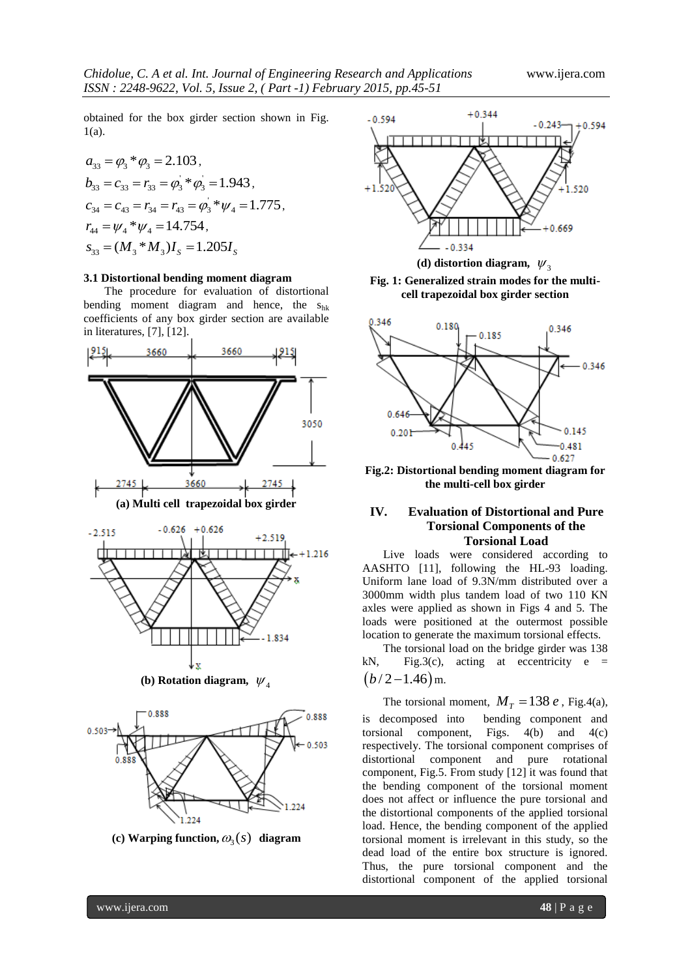obtained for the box girder section shown in Fig. 1(a).

$$
a_{33} = \varphi_3 * \varphi_3 = 2.103,
$$
  
\n
$$
b_{33} = c_{33} = r_{33} = \varphi_3 * \varphi_3 = 1.943,
$$
  
\n
$$
c_{34} = c_{43} = r_{34} = r_{43} = \varphi_3 * \psi_4 = 1.775,
$$
  
\n
$$
r_{44} = \psi_4 * \psi_4 = 14.754,
$$
  
\n
$$
s_{33} = (M_3 * M_3)I_S = 1.205I_S
$$

#### **3.1 Distortional bending moment diagram**

The procedure for evaluation of distortional bending moment diagram and hence, the shk coefficients of any box girder section are available in literatures, [7], [12].





(c) **Warping function,**  $\omega_3(s)$  **diagram** 



(d) distortion diagram,  $\psi_3$ 

**Fig. 1: Generalized strain modes for the multicell trapezoidal box girder section**



**Fig.2: Distortional bending moment diagram for the multi-cell box girder**

## **IV. Evaluation of Distortional and Pure Torsional Components of the Torsional Load**

Live loads were considered according to AASHTO [11], following the HL-93 loading. Uniform lane load of 9.3N/mm distributed over a 3000mm width plus tandem load of two 110 KN axles were applied as shown in Figs 4 and 5. The loads were positioned at the outermost possible location to generate the maximum torsional effects.

The torsional load on the bridge girder was 138 kN, Fig.3(c), acting at eccentricity  $e =$  $(b/2 - 1.46)$  m.

The torsional moment,  $M_T = 138 e$ , Fig.4(a), is decomposed into bending component and torsional component, Figs.  $4(b)$  and  $4(c)$ respectively. The torsional component comprises of distortional component and pure rotational component, Fig.5. From study [12] it was found that the bending component of the torsional moment does not affect or influence the pure torsional and the distortional components of the applied torsional load. Hence, the bending component of the applied torsional moment is irrelevant in this study, so the dead load of the entire box structure is ignored. Thus, the pure torsional component and the distortional component of the applied torsional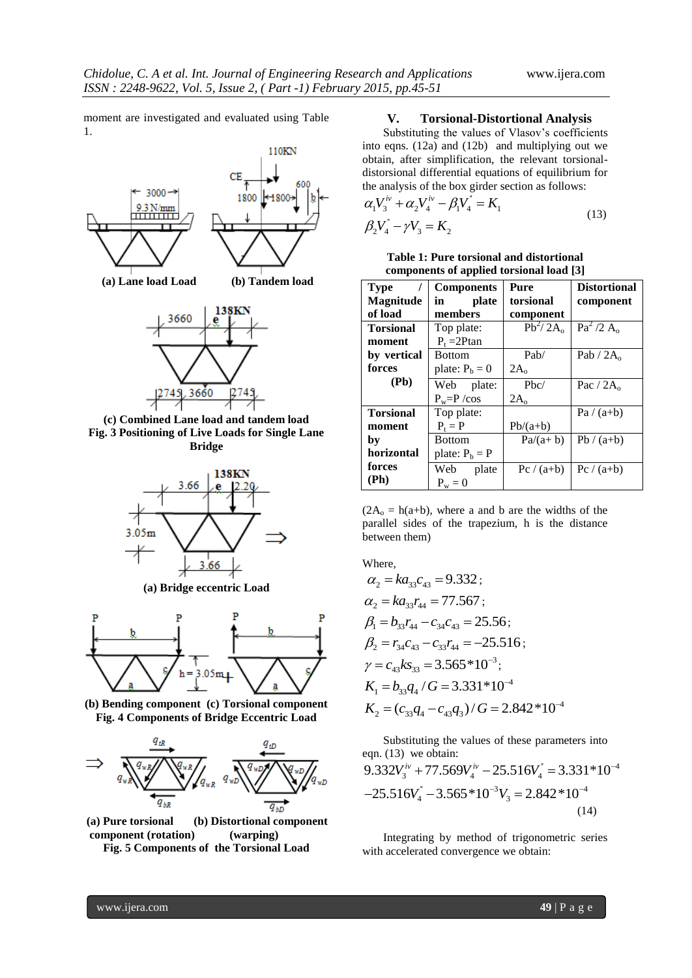moment are investigated and evaluated using Table 1.



**(c) Combined Lane load and tandem load Fig. 3 Positioning of Live Loads for Single Lane Bridge**



**(a) Bridge eccentric Load**



**(b) Bending component (c) Torsional component Fig. 4 Components of Bridge Eccentric Load**



**(a) Pure torsional (b) Distortional component component (rotation) (warping) Fig. 5 Components of the Torsional Load**

#### **V. Torsional-Distortional Analysis**

Substituting the values of Vlasov's coefficients into eqns. (12a) and (12b) and multiplying out we obtain, after simplification, the relevant torsionaldistorsional differential equations of equilibrium for

the analysis of the box girder section as follows:  
\n
$$
\alpha_1 V_3^{iv} + \alpha_2 V_4^{iv} - \beta_1 V_4^{i} = K_1
$$
\n
$$
\beta_2 V_4^{i} - \gamma V_3 = K_2
$$
\n(13)

**Table 1: Pure torsional and distortional components of applied torsional load [3]**

| <b>Type</b><br><b>Magnitude</b><br>of load | <b>Components</b><br>plate<br>in<br>members | Pure<br>torsional<br>component | <b>Distortional</b><br>component |
|--------------------------------------------|---------------------------------------------|--------------------------------|----------------------------------|
| <b>Torsional</b><br>moment                 | Top plate:<br>$P_t = 2P \tan$               | $Pb^2/2A_0$                    | $Pa^2/2 A_0$                     |
| by vertical<br>forces                      | <b>Bottom</b><br>plate: $P_b = 0$           | Pab/<br>$2A_{o}$               | Pab / $2A_0$                     |
| (Pb)                                       | Web plate:<br>$P_w = P / cos$               | Pbc/<br>$2A_0$                 | Pac / $2Ao$                      |
| <b>Torsional</b><br>moment                 | Top plate:<br>$P_t = P$                     | $Pb/(a+b)$                     | $Pa/(a+b)$                       |
| by<br>horizontal                           | <b>Bottom</b><br>plate: $P_b = P$           | $Pa/(a+b)$                     | $Pb/(a+b)$                       |
| forces<br>(Ph)                             | Web plate<br>$P_w = 0$                      | $Pc/(a+b)$                     | $Pc/(a+b)$                       |

 $(2A_0 = h(a+b))$ , where a and b are the widths of the parallel sides of the trapezium, h is the distance between them)

Where,

$$
\alpha_2 = ka_{33}c_{43} = 9.332 ;
$$
\n
$$
\alpha_2 = ka_{33}r_{44} = 77.567 ;
$$
\n
$$
\beta_1 = b_{33}r_{44} - c_{34}c_{43} = 25.56 ;
$$
\n
$$
\beta_2 = r_{34}c_{43} - c_{33}r_{44} = -25.516 ;
$$
\n
$$
\gamma = c_{43}ks_{33} = 3.565 * 10^{-3} ;
$$
\n
$$
K_1 = b_{33}q_4 / G = 3.331 * 10^{-4}
$$
\n
$$
K_2 = (c_{33}q_4 - c_{43}q_3) / G = 2.842 * 10^{-4}
$$

Substituting the values of these parameters into eqn. (13) we obtain:  $\mathbf{r} = 3.331*10^{-4}$ substituting the values of these parameters into<br>eqn. (13) we obtain:<br> $9.332V_3^{iv} + 77.569V_4^{iv} - 25.516V_4^{v} = 3.331*10^{-1}$  $x_1$ '' 3 565\*10<sup>-3</sup> $V_4$  = 2.842\*10<sup>-4</sup>  $9.332V_3^{iv} + 77.569V_4^{iv} - 25.516V_4^{v} = 3.331*10$ <br> $-25.516V_4^{v} - 3.565*10^{-3}V_3 = 2.842*10^{-4}$ tuting the values of these parameters is<br>  $+77.569V_4^{iv} - 25.516V_4^{v} = 3.331^{i}$ (14)

Integrating by method of trigonometric series with accelerated convergence we obtain: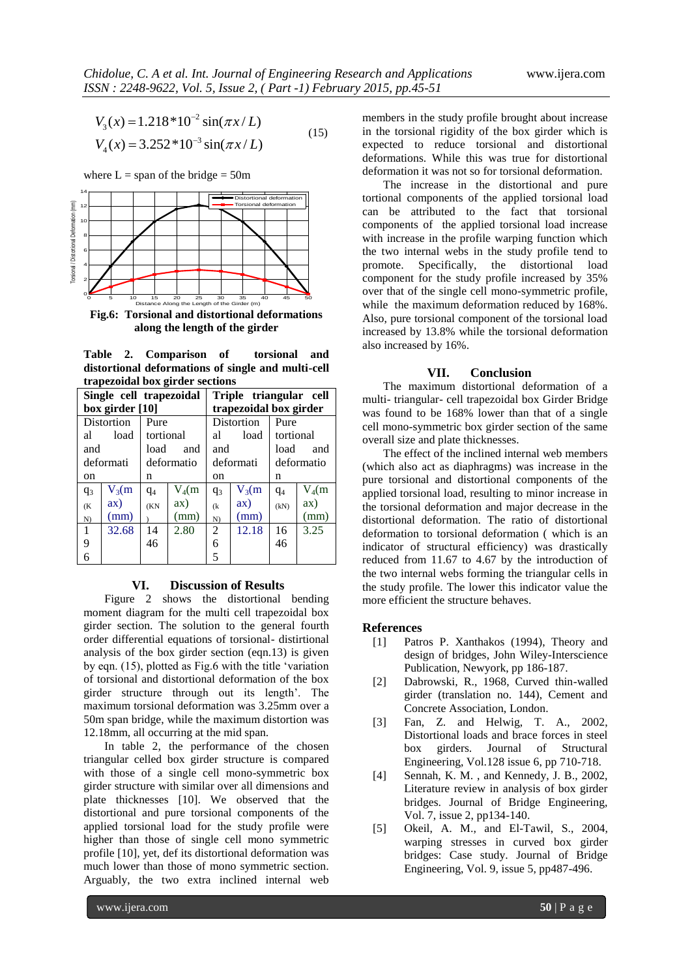$$
V_3(x) = 1.218 * 10^{-2} \sin(\pi x/L)
$$
  
\n
$$
V_4(x) = 3.252 * 10^{-3} \sin(\pi x/L)
$$
 (15)



**Fig.6: Torsional and distortional deformations along the length of the girder**

**Table 2. Comparison of torsional and distortional deformations of single and multi-cell trapezoidal box girder sections**

| $V_3(x) = 1.218*10^{-2} \sin(\pi x/L)$<br>(15)<br>$V_4(x) = 3.252*10^{-3} \sin(\pi x/L)$<br>where $L =$ span of the bridge = 50m<br>Distortional deformation<br>Torsional deformation<br>12<br>10                                          |                 |                   |                                 |                      |                                                        |                   |              | members in the study profile brought about incre<br>in the torsional rigidity of the box girder which<br>expected to reduce torsional and distortic<br>deformations. While this was true for distortic<br>deformation it was not so for torsional deformatio<br>The increase in the distortional and p<br>tortional components of the applied torsional l<br>can be attributed to the fact that torsic                                                                                               |                                                                                                                                                  |  |  |
|--------------------------------------------------------------------------------------------------------------------------------------------------------------------------------------------------------------------------------------------|-----------------|-------------------|---------------------------------|----------------------|--------------------------------------------------------|-------------------|--------------|------------------------------------------------------------------------------------------------------------------------------------------------------------------------------------------------------------------------------------------------------------------------------------------------------------------------------------------------------------------------------------------------------------------------------------------------------------------------------------------------------|--------------------------------------------------------------------------------------------------------------------------------------------------|--|--|
| 8<br>6<br>50<br>10<br>15 20 25 30 35<br>Distance Along the Length of the Girder (m)<br>40<br>45<br>Fig.6: Torsional and distortional deformations<br>along the length of the girder<br>Table<br>2.<br>Comparison<br>of<br>torsional<br>and |                 |                   |                                 |                      |                                                        |                   |              | components of the applied torsional load incre<br>with increase in the profile warping function wh<br>the two internal webs in the study profile tend<br>the<br>Specifically,<br>distortional l<br>promote.<br>component for the study profile increased by 3<br>over that of the single cell mono-symmetric prof<br>while the maximum deformation reduced by 168<br>Also, pure torsional component of the torsional lo<br>increased by 13.8% while the torsional deformat<br>also increased by 16%. |                                                                                                                                                  |  |  |
|                                                                                                                                                                                                                                            |                 |                   | trapezoidal box girder sections |                      | distortional deformations of single and multi-cell     |                   |              |                                                                                                                                                                                                                                                                                                                                                                                                                                                                                                      | <b>Conclusion</b><br>VII.<br>The maximum distortional deformation of                                                                             |  |  |
|                                                                                                                                                                                                                                            |                 |                   | Single cell trapezoidal         |                      | Triple triangular cell                                 |                   |              |                                                                                                                                                                                                                                                                                                                                                                                                                                                                                                      | multi- triangular- cell trapezoidal box Girder Bri                                                                                               |  |  |
|                                                                                                                                                                                                                                            | box girder [10] |                   |                                 |                      | trapezoidal box girder                                 |                   |              |                                                                                                                                                                                                                                                                                                                                                                                                                                                                                                      | was found to be 168% lower than that of a sin                                                                                                    |  |  |
| Distortion<br>al                                                                                                                                                                                                                           | load            | Pure<br>tortional |                                 | al                   | Distortion<br>load                                     | Pure<br>tortional |              |                                                                                                                                                                                                                                                                                                                                                                                                                                                                                                      | cell mono-symmetric box girder section of the sa                                                                                                 |  |  |
| and                                                                                                                                                                                                                                        |                 | load              | and                             | and                  |                                                        | load              | and          |                                                                                                                                                                                                                                                                                                                                                                                                                                                                                                      | overall size and plate thicknesses.                                                                                                              |  |  |
| deformati                                                                                                                                                                                                                                  |                 |                   | deformatio                      |                      | deformati                                              |                   | deformatio   |                                                                                                                                                                                                                                                                                                                                                                                                                                                                                                      | The effect of the inclined internal web memb<br>(which also act as diaphragms) was increase in                                                   |  |  |
| on                                                                                                                                                                                                                                         |                 | n                 |                                 | on                   |                                                        | n                 |              |                                                                                                                                                                                                                                                                                                                                                                                                                                                                                                      | pure torsional and distortional components of                                                                                                    |  |  |
| q <sub>3</sub>                                                                                                                                                                                                                             | $V_3(m)$        | $q_4$             | $V_4(m)$                        | q <sub>3</sub>       | $V_3(m)$                                               | q <sub>4</sub>    | $V_4(m)$     |                                                                                                                                                                                                                                                                                                                                                                                                                                                                                                      | applied torsional load, resulting to minor increase                                                                                              |  |  |
| (K <sup>2</sup> )                                                                                                                                                                                                                          | ax)             | (KN)              | ax)                             | (k)                  | ax)                                                    | (kN)              | ax)          |                                                                                                                                                                                                                                                                                                                                                                                                                                                                                                      | the torsional deformation and major decrease in                                                                                                  |  |  |
| N)<br>1                                                                                                                                                                                                                                    | (mm)<br>32.68   | 14                | (mm)<br>2.80                    | N)<br>$\overline{c}$ | (mm)<br>12.18                                          | 16                | (mm)<br>3.25 |                                                                                                                                                                                                                                                                                                                                                                                                                                                                                                      | distortional deformation. The ratio of distortic                                                                                                 |  |  |
| 9                                                                                                                                                                                                                                          |                 | 46                |                                 | 6                    |                                                        | 46                |              |                                                                                                                                                                                                                                                                                                                                                                                                                                                                                                      | deformation to torsional deformation (which is<br>indicator of structural efficiency) was drastica                                               |  |  |
| 6                                                                                                                                                                                                                                          |                 |                   |                                 | 5                    |                                                        |                   |              |                                                                                                                                                                                                                                                                                                                                                                                                                                                                                                      | reduced from 11.67 to 4.67 by the introduction                                                                                                   |  |  |
| <b>Discussion of Results</b><br>VI.<br>Figure 2 shows the distortional bending<br>moment diagram for the multi cell trapezoidal box                                                                                                        |                 |                   |                                 |                      |                                                        |                   |              |                                                                                                                                                                                                                                                                                                                                                                                                                                                                                                      | the two internal webs forming the triangular cells<br>the study profile. The lower this indicator value<br>more efficient the structure behaves. |  |  |
| girder section. The solution to the general fourth                                                                                                                                                                                         |                 |                   |                                 |                      |                                                        |                   |              | <b>References</b>                                                                                                                                                                                                                                                                                                                                                                                                                                                                                    |                                                                                                                                                  |  |  |
|                                                                                                                                                                                                                                            |                 |                   |                                 |                      | order differential equations of torsional-distirtional |                   |              | $[1]$                                                                                                                                                                                                                                                                                                                                                                                                                                                                                                | Patros P. Xanthakos (1994), Theory                                                                                                               |  |  |
|                                                                                                                                                                                                                                            |                 |                   |                                 |                      | analysis of the box girder section (eqn.13) is given   |                   |              |                                                                                                                                                                                                                                                                                                                                                                                                                                                                                                      | design of bridges, John Wiley-Interscie                                                                                                          |  |  |
| by eqn. (15), plotted as Fig.6 with the title 'variation<br>of torsional and distortional deformation of the box                                                                                                                           |                 |                   |                                 |                      |                                                        |                   |              | $[2]$                                                                                                                                                                                                                                                                                                                                                                                                                                                                                                | Publication, Newyork, pp 186-187.<br>Dabrowski, R., 1968, Curved thin-wal                                                                        |  |  |
| girder structure through out its length'. The                                                                                                                                                                                              |                 |                   |                                 |                      |                                                        |                   |              |                                                                                                                                                                                                                                                                                                                                                                                                                                                                                                      | girder (translation no. 144), Cement                                                                                                             |  |  |
| maximum torsional deformation was 3.25mm over a                                                                                                                                                                                            |                 |                   |                                 |                      |                                                        |                   |              |                                                                                                                                                                                                                                                                                                                                                                                                                                                                                                      | Concrete Association, London.                                                                                                                    |  |  |
| 50m span bridge, while the maximum distortion was                                                                                                                                                                                          |                 |                   |                                 |                      |                                                        |                   |              | $[3]$                                                                                                                                                                                                                                                                                                                                                                                                                                                                                                | Fan, Z. and Helwig, T. A., 20                                                                                                                    |  |  |
| 12.18mm, all occurring at the mid span.<br>In table 2, the performance of the chosen                                                                                                                                                       |                 |                   |                                 |                      |                                                        |                   |              |                                                                                                                                                                                                                                                                                                                                                                                                                                                                                                      | Distortional loads and brace forces in st                                                                                                        |  |  |
| triangular celled box girder structure is compared                                                                                                                                                                                         |                 |                   |                                 |                      |                                                        |                   |              |                                                                                                                                                                                                                                                                                                                                                                                                                                                                                                      | Journal<br>of<br>box<br>girders.<br>Structu<br>Engineering, Vol.128 issue 6, pp 710-71                                                           |  |  |
| with those of a single cell mono-symmetric box                                                                                                                                                                                             |                 |                   |                                 |                      |                                                        |                   |              | $[4]$                                                                                                                                                                                                                                                                                                                                                                                                                                                                                                | Sennah, K. M., and Kennedy, J. B., 20                                                                                                            |  |  |
| girder structure with similar over all dimensions and                                                                                                                                                                                      |                 |                   |                                 |                      |                                                        |                   |              |                                                                                                                                                                                                                                                                                                                                                                                                                                                                                                      | Literature review in analysis of box gir                                                                                                         |  |  |
| plate thicknesses [10]. We observed that the                                                                                                                                                                                               |                 |                   |                                 |                      |                                                        |                   |              |                                                                                                                                                                                                                                                                                                                                                                                                                                                                                                      | bridges. Journal of Bridge Engineeri                                                                                                             |  |  |
| distortional and pure torsional components of the                                                                                                                                                                                          |                 |                   |                                 |                      |                                                        |                   |              |                                                                                                                                                                                                                                                                                                                                                                                                                                                                                                      | Vol. 7, issue 2, pp134-140.                                                                                                                      |  |  |
| applied torsional load for the study profile were<br>higher than those of single cell mono symmetric                                                                                                                                       |                 |                   |                                 |                      |                                                        |                   |              | $[5]$                                                                                                                                                                                                                                                                                                                                                                                                                                                                                                | Okeil, A. M., and El-Tawil, S., 20                                                                                                               |  |  |
| profile [10], yet, def its distortional deformation was                                                                                                                                                                                    |                 |                   |                                 |                      |                                                        |                   |              |                                                                                                                                                                                                                                                                                                                                                                                                                                                                                                      | warping stresses in curved box gir<br>bridges: Case study. Journal of Brid                                                                       |  |  |
| much lower than those of mono symmetric section.                                                                                                                                                                                           |                 |                   |                                 |                      |                                                        |                   |              |                                                                                                                                                                                                                                                                                                                                                                                                                                                                                                      | Engineering, Vol. 9, issue 5, pp487-496.                                                                                                         |  |  |
|                                                                                                                                                                                                                                            |                 |                   |                                 |                      | Arguably, the two extra inclined internal web          |                   |              |                                                                                                                                                                                                                                                                                                                                                                                                                                                                                                      |                                                                                                                                                  |  |  |
|                                                                                                                                                                                                                                            | www.ijera.com   |                   |                                 |                      |                                                        |                   |              |                                                                                                                                                                                                                                                                                                                                                                                                                                                                                                      | 50   P a g e                                                                                                                                     |  |  |

#### **VI. Discussion of Results**

members in the study profile brought about increase in the torsional rigidity of the box girder which is expected to reduce torsional and distortional deformations. While this was true for distortional deformation it was not so for torsional deformation.

The increase in the distortional and pure tortional components of the applied torsional load can be attributed to the fact that torsional components of the applied torsional load increase with increase in the profile warping function which the two internal webs in the study profile tend to promote. Specifically, the distortional load component for the study profile increased by 35% over that of the single cell mono-symmetric profile, while the maximum deformation reduced by 168%. Also, pure torsional component of the torsional load increased by 13.8% while the torsional deformation also increased by 16%.

#### **VII. Conclusion**

The maximum distortional deformation of a multi- triangular- cell trapezoidal box Girder Bridge was found to be 168% lower than that of a single cell mono-symmetric box girder section of the same overall size and plate thicknesses.

The effect of the inclined internal web members (which also act as diaphragms) was increase in the pure torsional and distortional components of the applied torsional load, resulting to minor increase in the torsional deformation and major decrease in the distortional deformation. The ratio of distortional deformation to torsional deformation ( which is an indicator of structural efficiency) was drastically reduced from 11.67 to 4.67 by the introduction of the two internal webs forming the triangular cells in the study profile. The lower this indicator value the more efficient the structure behaves.

#### **References**

- [1] Patros P. Xanthakos (1994), Theory and design of bridges, John Wiley-Interscience Publication, Newyork, pp 186-187.
- [2] Dabrowski, R., 1968, Curved thin-walled girder (translation no. 144), Cement and Concrete Association, London.
- [3] Fan, Z. and Helwig, T. A., 2002, Distortional loads and brace forces in steel box girders. Journal of Structural Engineering, Vol.128 issue 6, pp 710-718.
- [4] Sennah, K. M. , and Kennedy, J. B., 2002, Literature review in analysis of box girder bridges. Journal of Bridge Engineering, Vol. 7, issue 2, pp134-140.
- [5] Okeil, A. M., and El-Tawil, S., 2004, warping stresses in curved box girder bridges: Case study. Journal of Bridge Engineering, Vol. 9, issue 5, pp487-496.